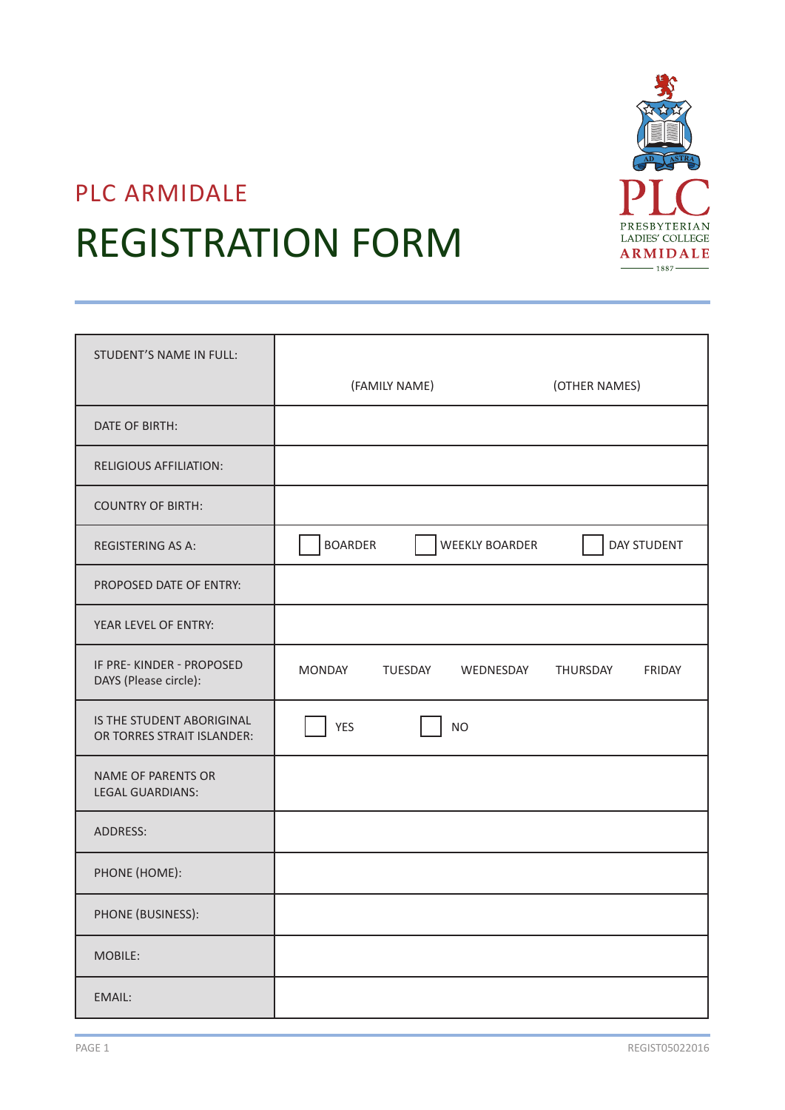

# PLC ARMIDALE REGISTRATION FORM

| <b>STUDENT'S NAME IN FULL:</b>                          |                                         |                           |
|---------------------------------------------------------|-----------------------------------------|---------------------------|
|                                                         | (FAMILY NAME)                           | (OTHER NAMES)             |
| DATE OF BIRTH:                                          |                                         |                           |
| <b>RELIGIOUS AFFILIATION:</b>                           |                                         |                           |
| <b>COUNTRY OF BIRTH:</b>                                |                                         |                           |
| <b>REGISTERING AS A:</b>                                | <b>BOARDER</b><br><b>WEEKLY BOARDER</b> | DAY STUDENT               |
| PROPOSED DATE OF ENTRY:                                 |                                         |                           |
| YEAR LEVEL OF ENTRY:                                    |                                         |                           |
| IF PRE-KINDER - PROPOSED<br>DAYS (Please circle):       | <b>MONDAY</b><br>TUESDAY<br>WEDNESDAY   | THURSDAY<br><b>FRIDAY</b> |
| IS THE STUDENT ABORIGINAL<br>OR TORRES STRAIT ISLANDER: | <b>YES</b><br><b>NO</b>                 |                           |
| <b>NAME OF PARENTS OR</b><br><b>LEGAL GUARDIANS:</b>    |                                         |                           |
| ADDRESS:                                                |                                         |                           |
| PHONE (HOME):                                           |                                         |                           |
| PHONE (BUSINESS):                                       |                                         |                           |
| MOBILE:                                                 |                                         |                           |
| EMAIL:                                                  |                                         |                           |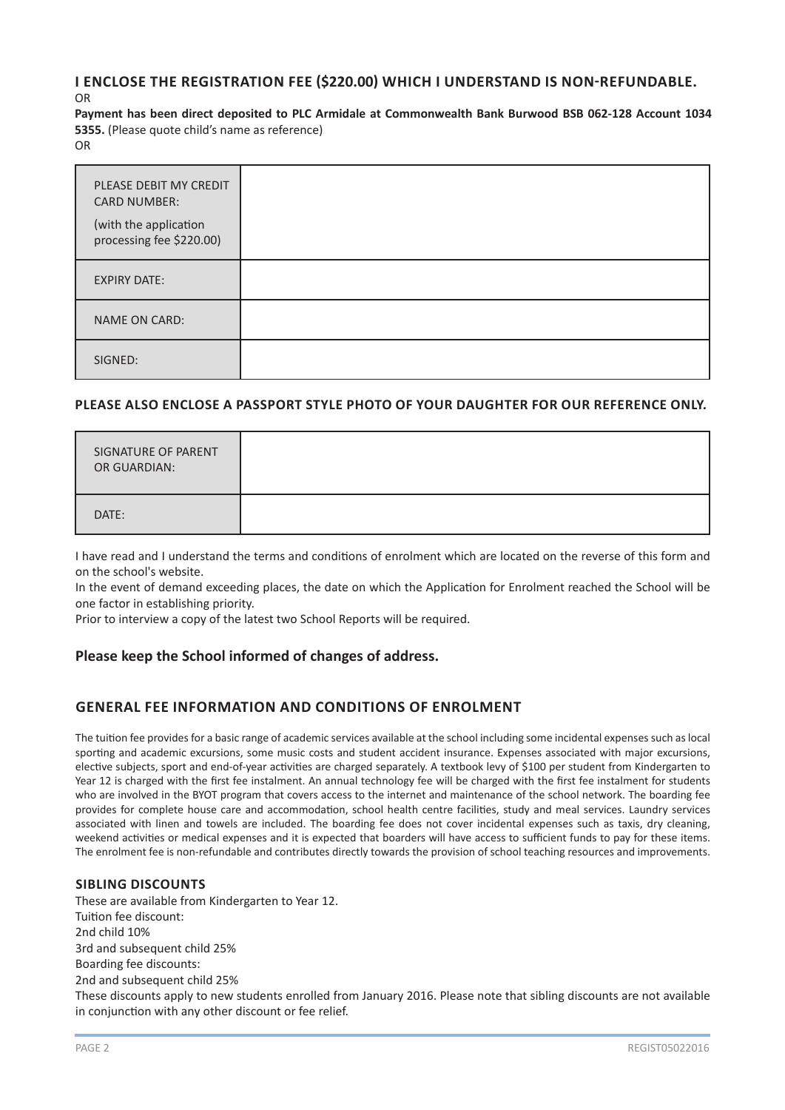## **I ENCLOSE THE REGISTRATION FEE (\$220.00) WHICH I UNDERSTAND IS NON-REFUNDABLE.**

OR

**Payment has been direct deposited to PLC Armidale at Commonwealth Bank Burwood BSB 062-128 Account 1034 5355.** (Please quote child's name as reference)

OR

| PLEASE DEBIT MY CREDIT<br><b>CARD NUMBER:</b><br>(with the application<br>processing fee \$220.00) |  |
|----------------------------------------------------------------------------------------------------|--|
| <b>EXPIRY DATE:</b>                                                                                |  |
| <b>NAME ON CARD:</b>                                                                               |  |
| SIGNED:                                                                                            |  |

## **PLEASE ALSO ENCLOSE A PASSPORT STYLE PHOTO OF YOUR DAUGHTER FOR OUR REFERENCE ONLY.**

| SIGNATURE OF PARENT<br>OR GUARDIAN: |  |
|-------------------------------------|--|
| DATE:                               |  |

I have read and I understand the terms and conditions of enrolment which are located on the reverse of this form and on the school's website.

In the event of demand exceeding places, the date on which the Application for Enrolment reached the School will be one factor in establishing priority.

Prior to interview a copy of the latest two School Reports will be required.

## **Please keep the School informed of changes of address.**

## **GENERAL FEE INFORMATION AND CONDITIONS OF ENROLMENT**

The tuition fee provides for a basic range of academic services available at the school including some incidental expenses such as local sporting and academic excursions, some music costs and student accident insurance. Expenses associated with major excursions, elective subjects, sport and end-of-year activities are charged separately. A textbook levy of \$100 per student from Kindergarten to Year 12 is charged with the first fee instalment. An annual technology fee will be charged with the first fee instalment for students who are involved in the BYOT program that covers access to the internet and maintenance of the school network. The boarding fee provides for complete house care and accommodation, school health centre facilities, study and meal services. Laundry services associated with linen and towels are included. The boarding fee does not cover incidental expenses such as taxis, dry cleaning, weekend activities or medical expenses and it is expected that boarders will have access to sufficient funds to pay for these items. The enrolment fee is non-refundable and contributes directly towards the provision of school teaching resources and improvements.

### **SIBLING DISCOUNTS**

These are available from Kindergarten to Year 12. Tuition fee discount: 2nd child 10% 3rd and subsequent child 25% Boarding fee discounts: 2nd and subsequent child 25% These discounts apply to new students enrolled from January 2016. Please note that sibling discounts are not available in conjunction with any other discount or fee relief.